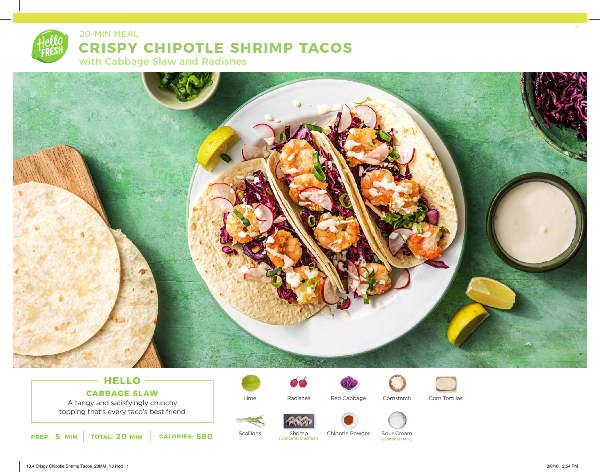# **CRISPY CHIPOTLE SHRIMP TACOS** 20-MIN MEAL <sup>4</sup>

with Cabbage Slaw and Radishes



# **HELLO CABBAGE SLAW**

A tangy and satisfyingly crunchy topping that's every taco's best friend



**Scallions** 

Lime





Red Cabbage Cornstarch Corn Tortillas









Sour Cream<br>(Contains: Milk)